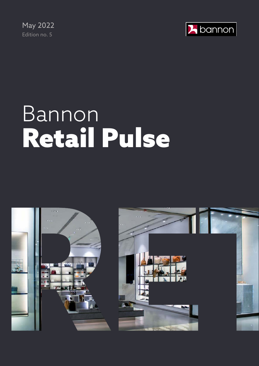May 2022 Edition no. 5



# Bannon Retail Pulse



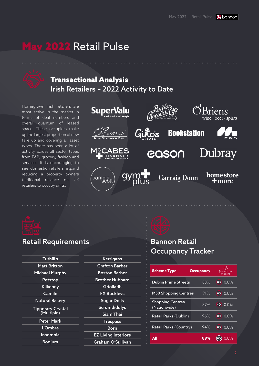## y 2022 Retail Pulse

## Transactional Analysis Irish Retailers – 2022 Activity to Date

Homegrown Irish retailers are most active in the market in terms of deal numbers and overall quantum of leased space. These occupiers make up the largest proportion of new take up and covering all asset types. There has been a lot of activity across all sector types from F&B, grocery, fashion and services. It is encouraging to see domestic retailers expand reducing a property owners traditional reliance on UK retailers to occupy units.





#### Retail Requirements

| <b>Tuthill's</b>         | <b>Kerrigans</b>           |  |
|--------------------------|----------------------------|--|
| <b>Matt Britton</b>      | <b>Grafton Barber</b>      |  |
| <b>Michael Murphy</b>    | Boston Barber              |  |
| Petstop                  | <b>Brother Hubbard</b>     |  |
| <b>Kilkenny</b>          | Griolladh                  |  |
| Camile                   | <b>FX Buckleys</b>         |  |
| <b>Natural Bakery</b>    | <b>Sugar Dolls</b>         |  |
| <b>Tipperary Crystal</b> | <b>Scrumdiddlys</b>        |  |
| (Multiple)               | <b>Siam Thai</b>           |  |
| <b>Peter Mark</b>        | <b>Trespass</b>            |  |
| L'Ombre                  | Born                       |  |
| Insomnia                 | <b>EZ Living Interiors</b> |  |
| <b>Boojum</b>            | Graham O'Sullivan          |  |



## Bannon Retail Occupancy Tracker

. . . . . . . . . . . . . . . . . . . .

| <b>Scheme Type</b>                      | <b>Occupancy</b> |               | +/-<br>(month on<br>month) |  |
|-----------------------------------------|------------------|---------------|----------------------------|--|
| <b>Dublin Prime Streets</b>             | 83%              | ⇨             | 0.0%                       |  |
| <b>M50 Shopping Centres</b>             | 91%              | ⇨             | $0.0\%$                    |  |
| <b>Shopping Centres</b><br>(Nationwide) | 87%              | $\Rightarrow$ | 0.0%                       |  |
| Retail Parks (Dublin)                   | 96%              | ⇨             | 0.0%                       |  |
| <b>Retail Parks (Country)</b>           | 94%              | ⇨             | 0.0%                       |  |
| ΔII                                     | 89%              |               | $0\%$                      |  |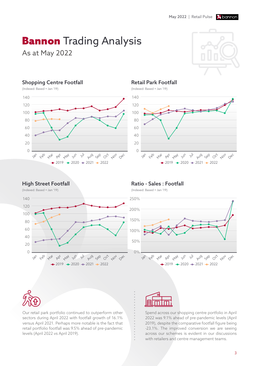# **Bannon** Trading Analysis

As at May 2022



#### Shopping Centre Footfall



#### Retail Park Footfall

(Indexed: Based = Jan '19)



#### High Street Footfall

(Indexed: Based = Jan '19)



#### Ratio - Sales : Footfall

(Indexed: Based = Jan '19)





Our retail park portfolio continued to outperform other sectors during April 2022 with footfall growth of 16.1% versus April 2021. Perhaps more notable is the fact that retail portfolio footfall was 9.5% ahead of pre-pandemic levels (April 2022 vs April 2019).



Spend across our shopping centre portfolio in April 2022 was 9.1% ahead of pre-pandemic levels (April 2019), despite the comparative footfall figure being -23.1%. The improved conversion we are seeing across our schemes is evident in our discussions with retailers and centre management teams.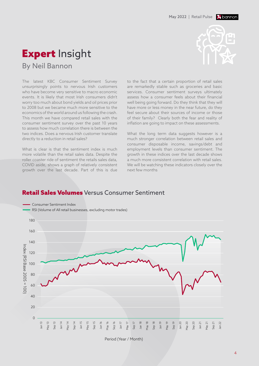## **Expert Insight** By Neil Bannon



The latest KBC Consumer Sentiment Survey unsurprisingly points to nervous Irish customers who have become very sensitive to macro economic events. It is likely that most Irish consumers didn't worry too much about bond yields and oil prices prior to 2008 but we became much more sensitive to the economics of the world around us following the crash. This month we have compared retail sales with the consumer sentiment survey over the past 10 years to assess how much correlation there is between the two indices. Does a nervous Irish customer translate directly to a reduction in retail sales?

What is clear is that the sentiment index is much more volatile than the retail sales data. Despite the roller coaster ride of sentiment the retails sales data, COVID aside, shows a graph of relatively consistent growth over the last decade. Part of this is due

to the fact that a certain proportion of retail sales are remarkedly stable such as groceries and basic services. Consumer sentiment surveys ultimately assess how a consumer feels about their financial well being going forward. Do they think that they will have more or less money in the near future, do they feel secure about their sources of income or those of their family? Clearly both the fear and reality of inflation are going to impact on these assessments.

What the long term data suggests however is a much stronger correlation between retail sales and consumer disposable income, savings/debt and employment levels than consumer sentiment. The growth in these indices over the last decade shows a much more consistent correlation with retail sales. We will be watching these indicators closely over the next few months

#### Retail Sales Volumes Versus Consumer Sentiment



Period (Year / Month)